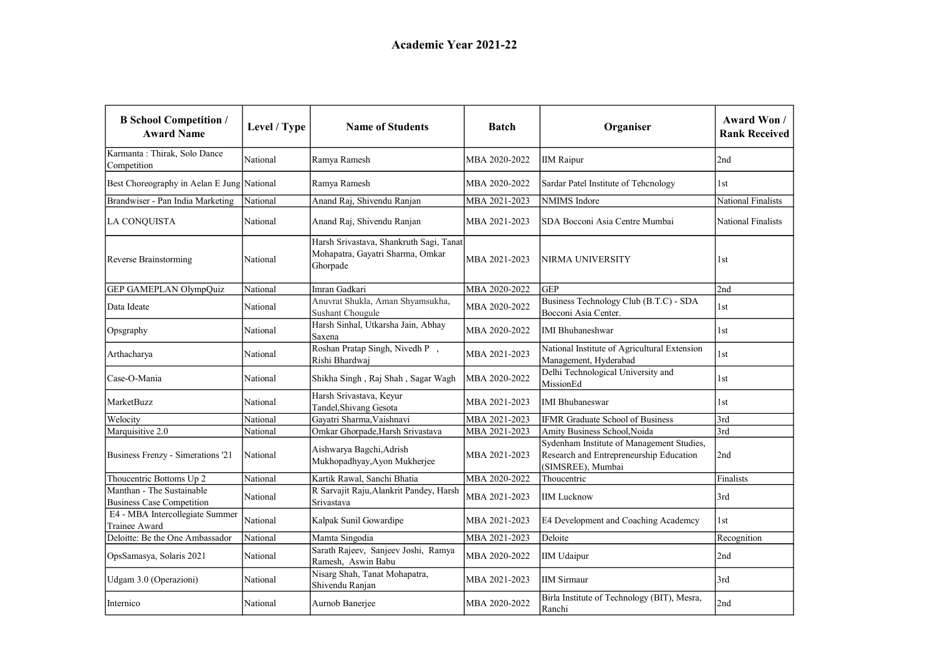| <b>B</b> School Competition /<br><b>Award Name</b>            | Level / Type | <b>Name of Students</b>                                                                 | Batch         | Organiser                                                                                                 | Award Won /<br><b>Rank Received</b> |
|---------------------------------------------------------------|--------------|-----------------------------------------------------------------------------------------|---------------|-----------------------------------------------------------------------------------------------------------|-------------------------------------|
| Karmanta: Thirak, Solo Dance<br>Competition                   | National     | Ramya Ramesh                                                                            | MBA 2020-2022 | <b>IIM Raipur</b>                                                                                         | 2nd                                 |
| Best Choreography in Aelan E Jung National                    |              | Ramya Ramesh                                                                            | MBA 2020-2022 | Sardar Patel Institute of Tehenology                                                                      | 1st                                 |
| Brandwiser - Pan India Marketing                              | National     | Anand Raj, Shivendu Ranjan                                                              | MBA 2021-2023 | NMIMS Indore                                                                                              | National Finalists                  |
| LA CONQUISTA                                                  | National     | Anand Raj, Shivendu Ranjan                                                              | MBA 2021-2023 | SDA Bocconi Asia Centre Mumbai                                                                            | National Finalists                  |
| Reverse Brainstorming                                         | National     | Harsh Srivastava, Shankruth Sagi, Tanat<br>Mohapatra, Gayatri Sharma, Omkar<br>Ghorpade | MBA 2021-2023 | NIRMA UNIVERSITY                                                                                          | 1st                                 |
| GEP GAMEPLAN OlympQuiz                                        | National     | Imran Gadkari                                                                           | MBA 2020-2022 | <b>GEP</b>                                                                                                | 2nd                                 |
| Data Ideate                                                   | National     | Anuvrat Shukla, Aman Shyamsukha,<br>Sushant Chougule                                    | MBA 2020-2022 | Business Technology Club (B.T.C) - SDA<br>Bocconi Asia Center.                                            | 1st                                 |
| Opsgraphy                                                     | National     | Harsh Sinhal, Utkarsha Jain, Abhay<br>Saxena                                            | MBA 2020-2022 | <b>IMI Bhubaneshwar</b>                                                                                   | 1st                                 |
| Arthacharya                                                   | National     | Roshan Pratap Singh, Nivedh P,<br>Rishi Bhardwaj                                        | MBA 2021-2023 | National Institute of Agricultural Extension<br>Management, Hyderabad                                     | 1st                                 |
| Case-O-Mania                                                  | National     | Shikha Singh, Raj Shah, Sagar Wagh                                                      | MBA 2020-2022 | Delhi Technological University and<br>MissionEd                                                           | 1st                                 |
| MarketBuzz                                                    | National     | Harsh Srivastava, Keyur<br>Tandel, Shivang Gesota                                       | MBA 2021-2023 | <b>IMI</b> Bhubaneswar                                                                                    | 1st                                 |
| Welocity                                                      | National     | Gayatri Sharma, Vaishnavi                                                               | MBA 2021-2023 | IFMR Graduate School of Business                                                                          | 3rd                                 |
| Marquisitive 2.0                                              | National     | Omkar Ghorpade, Harsh Srivastava                                                        | MBA 2021-2023 | Amity Business School, Noida                                                                              | 3rd                                 |
| Business Frenzy - Simerations '21                             | National     | Aishwarya Bagchi, Adrish<br>Mukhopadhyay, Ayon Mukherjee                                | MBA 2021-2023 | Sydenham Institute of Management Studies,<br>Research and Entrepreneurship Education<br>(SIMSREE), Mumbai | 2nd                                 |
| Thoucentric Bottoms Up 2                                      | National     | Kartik Rawal, Sanchi Bhatia                                                             | MBA 2020-2022 | Thoucentric                                                                                               | Finalists                           |
| Manthan - The Sustainable<br><b>Business Case Competition</b> | National     | R Sarvajit Raju, Alankrit Pandey, Harsh<br>Srivastava                                   | MBA 2021-2023 | <b>IIM Lucknow</b>                                                                                        | 3rd                                 |
| E4 - MBA Intercollegiate Summer<br>Trainee Award              | National     | Kalpak Sunil Gowardipe                                                                  | MBA 2021-2023 | E4 Development and Coaching Academcy                                                                      | 1st                                 |
| Deloitte: Be the One Ambassador                               | National     | Mamta Singodia                                                                          | MBA 2021-2023 | Deloite                                                                                                   | Recognition                         |
| OpsSamasya, Solaris 2021                                      | National     | Sarath Rajeev, Sanjeev Joshi, Ramya<br>Ramesh, Aswin Babu                               | MBA 2020-2022 | <b>IIM Udaipur</b>                                                                                        | 2nd                                 |
| Udgam 3.0 (Operazioni)                                        | National     | Nisarg Shah, Tanat Mohapatra,<br>Shivendu Ranjan                                        | MBA 2021-2023 | <b>IIM Sirmaur</b>                                                                                        | 3rd                                 |
| Internico                                                     | National     | Aurnob Banerjee                                                                         | MBA 2020-2022 | Birla Institute of Technology (BIT), Mesra,<br>Ranchi                                                     | 2nd                                 |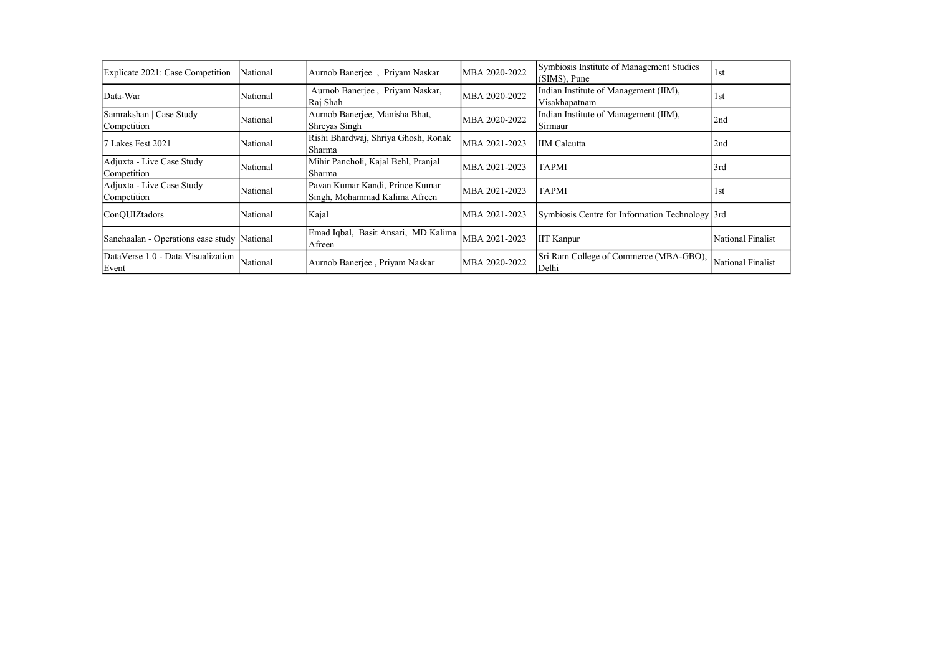| Explicate 2021: Case Competition            | National | Aurnob Banerjee, Priyam Naskar                                   | MBA 2020-2022  | Symbiosis Institute of Management Studies<br>(SIMS), Pune | 1st               |
|---------------------------------------------|----------|------------------------------------------------------------------|----------------|-----------------------------------------------------------|-------------------|
| Data-War                                    | National | Aurnob Banerjee, Priyam Naskar,<br>Raj Shah                      | MBA 2020-2022  | Indian Institute of Management (IIM),<br>Visakhapatnam    | 1st               |
| Samrakshan   Case Study<br>Competition      | National | Aurnob Banerjee, Manisha Bhat,<br>Shreyas Singh                  | MBA 2020-2022  | Indian Institute of Management (IIM),<br>Sirmaur          | 2nd               |
| Lakes Fest 2021                             | National | Rishi Bhardwaj, Shriya Ghosh, Ronak<br>Sharma                    | MBA 2021-2023  | <b>IIM</b> Calcutta                                       | 2nd               |
| Adjuxta - Live Case Study<br>Competition    | National | Mihir Pancholi, Kajal Behl, Pranjal<br>Sharma                    | MBA 2021-2023  | TAPMI                                                     | l3rd              |
| Adjuxta - Live Case Study<br>Competition    | National | Pavan Kumar Kandi, Prince Kumar<br>Singh, Mohammad Kalima Afreen | IMBA 2021-2023 | TAPMI                                                     | 1st               |
| ConQUIZtadors                               | National | Kajal                                                            | MBA 2021-2023  | Symbiosis Centre for Information Technology 3rd           |                   |
| Sanchaalan - Operations case study National |          | Emad Iqbal, Basit Ansari, MD Kalima<br>Afreen                    | MBA 2021-2023  | <b>IIT Kanpur</b>                                         | National Finalist |
| DataVerse 1.0 - Data Visualization<br>Event | National | Aurnob Banerjee, Priyam Naskar                                   | MBA 2020-2022  | Sri Ram College of Commerce (MBA-GBO),<br>Delhi           | National Finalist |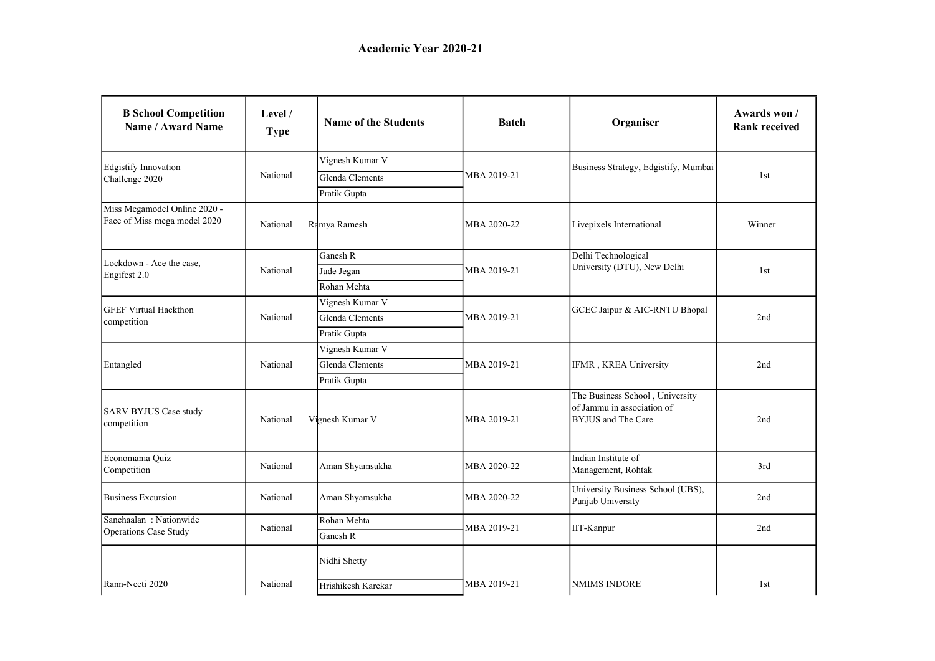| <b>B</b> School Competition<br>Name / Award Name             | Level /<br><b>Type</b> | <b>Name of the Students</b> | <b>Batch</b> | Organiser                                                                                  | Awards won /<br><b>Rank received</b> |
|--------------------------------------------------------------|------------------------|-----------------------------|--------------|--------------------------------------------------------------------------------------------|--------------------------------------|
| <b>Edgistify Innovation</b>                                  |                        | Vignesh Kumar V             |              | Business Strategy, Edgistify, Mumbai                                                       |                                      |
| Challenge 2020                                               | National               | Glenda Clements             | MBA 2019-21  |                                                                                            | 1st                                  |
|                                                              |                        | Pratik Gupta                |              |                                                                                            |                                      |
| Miss Megamodel Online 2020 -<br>Face of Miss mega model 2020 | National               | Ramya Ramesh                | MBA 2020-22  | Livepixels International                                                                   | Winner                               |
|                                                              |                        | Ganesh R                    |              | Delhi Technological                                                                        |                                      |
| Lockdown - Ace the case.<br>Engifest 2.0                     | National               | Jude Jegan                  | MBA 2019-21  | University (DTU), New Delhi                                                                | 1st                                  |
|                                                              |                        | Rohan Mehta                 |              |                                                                                            |                                      |
| <b>GFEF Virtual Hackthon</b>                                 |                        | Vignesh Kumar V             |              |                                                                                            |                                      |
| competition                                                  | National               | Glenda Clements             | MBA 2019-21  | GCEC Jaipur & AIC-RNTU Bhopal                                                              | 2nd                                  |
|                                                              |                        | Pratik Gupta                |              |                                                                                            |                                      |
|                                                              | National               | Vignesh Kumar V             |              |                                                                                            |                                      |
| Entangled                                                    |                        | Glenda Clements             | MBA 2019-21  | IFMR, KREA University                                                                      | 2nd                                  |
|                                                              |                        | Pratik Gupta                |              |                                                                                            |                                      |
| SARV BYJUS Case study<br>competition                         | National               | Vignesh Kumar V             | MBA 2019-21  | The Business School, University<br>of Jammu in association of<br><b>BYJUS</b> and The Care | 2nd                                  |
| Economania Quiz<br>Competition                               | National               | Aman Shyamsukha             | MBA 2020-22  | Indian Institute of<br>Management, Rohtak                                                  | 3rd                                  |
| <b>Business Excursion</b>                                    | National               | Aman Shyamsukha             | MBA 2020-22  | University Business School (UBS),<br>Punjab University                                     | 2nd                                  |
| Sanchaalan: Nationwide                                       | National               | Rohan Mehta                 | MBA 2019-21  | IIT-Kanpur                                                                                 | 2nd                                  |
| <b>Operations Case Study</b>                                 |                        | Ganesh R                    |              |                                                                                            |                                      |
|                                                              |                        | Nidhi Shetty                |              |                                                                                            |                                      |
| Rann-Neeti 2020                                              | National               | Hrishikesh Karekar          | MBA 2019-21  | <b>NMIMS INDORE</b>                                                                        | 1st                                  |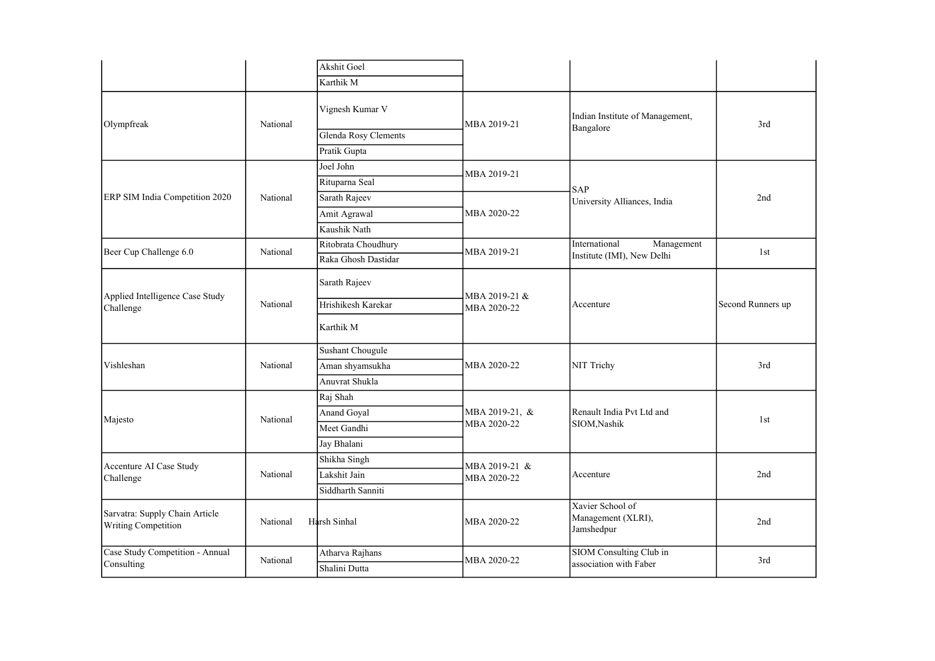|                                                       |          | Akshit Goel          |                  |                                                      |                   |
|-------------------------------------------------------|----------|----------------------|------------------|------------------------------------------------------|-------------------|
|                                                       |          | Karthik M            |                  |                                                      |                   |
| Olympfreak                                            | National | Vignesh Kumar V      | MBA 2019-21      | Indian Institute of Management,<br>Bangalore         | 3rd               |
|                                                       |          | Glenda Rosy Clements |                  |                                                      |                   |
|                                                       |          | Pratik Gupta         |                  |                                                      |                   |
|                                                       |          | Joel John            | MBA 2019-21      |                                                      |                   |
|                                                       |          | Rituparna Seal       |                  | SAP                                                  |                   |
| ERP SIM India Competition 2020                        | National | Sarath Rajeev        |                  | University Alliances, India                          | 2nd               |
|                                                       |          | Amit Agrawal         | MBA 2020-22      |                                                      |                   |
|                                                       |          | Kaushik Nath         |                  |                                                      |                   |
| Beer Cup Challenge 6.0                                | National | Ritobrata Choudhury  | MBA 2019-21      | International<br>Management                          | 1st               |
|                                                       |          | Raka Ghosh Dastidar  |                  | Institute (IMI), New Delhi                           |                   |
|                                                       | National | Sarath Rajeev        | MBA 2019-21 &    | Accenture                                            |                   |
| Applied Intelligence Case Study<br>Challenge          |          | Hrishikesh Karekar   | MBA 2020-22      |                                                      | Second Runners up |
|                                                       |          | Karthik M            |                  |                                                      |                   |
|                                                       | National | Sushant Chougule     |                  |                                                      |                   |
| Vishleshan                                            |          | Aman shyamsukha      | MBA 2020-22      | NIT Trichy                                           | 3rd               |
|                                                       |          | Anuvrat Shukla       |                  |                                                      |                   |
|                                                       |          | Raj Shah             |                  |                                                      |                   |
|                                                       | National | Anand Goyal          | MBA 2019-21, $&$ | Renault India Pvt Ltd and                            | 1st               |
| Majesto                                               |          | Meet Gandhi          | MBA 2020-22      | SIOM, Nashik                                         |                   |
|                                                       |          | Jay Bhalani          |                  |                                                      |                   |
| Accenture AI Case Study                               |          | Shikha Singh         | MBA 2019-21 &    |                                                      |                   |
| Challenge                                             | National | Lakshit Jain         | MBA 2020-22      | Accenture                                            | 2nd               |
|                                                       |          | Siddharth Sanniti    |                  |                                                      |                   |
| Sarvatra: Supply Chain Article<br>Writing Competition | National | Harsh Sinhal         | MBA 2020-22      | Xavier School of<br>Management (XLRI),<br>Jamshedpur | 2nd               |
| Case Study Competition - Annual                       |          | Atharva Rajhans      | MBA 2020-22      | SIOM Consulting Club in                              | 3rd               |
| Consulting                                            | National | Shalini Dutta        |                  | association with Faber                               |                   |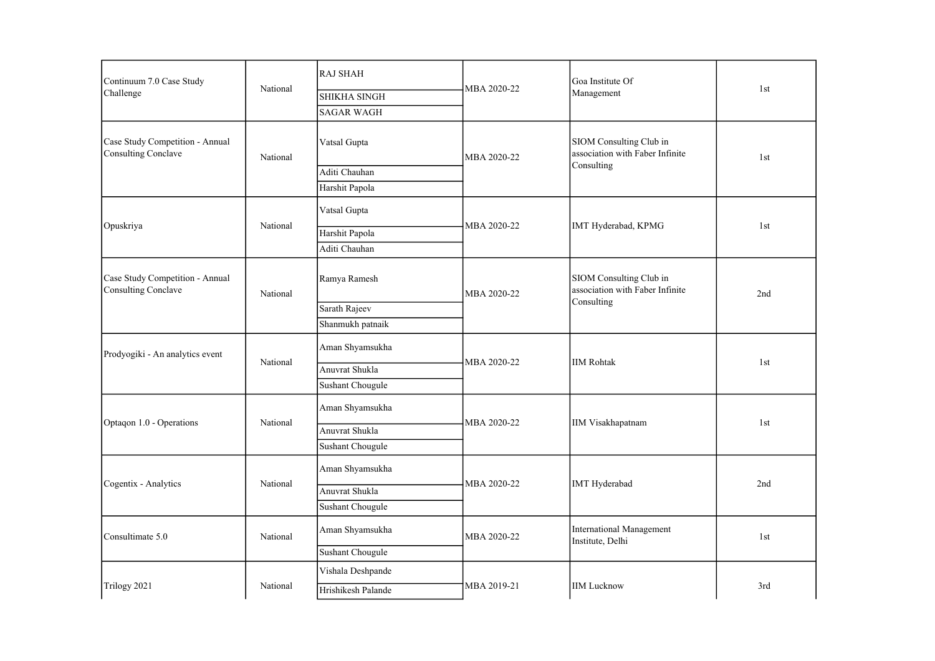| Continuum 7.0 Case Study                                      | National | <b>RAJ SHAH</b>    | MBA 2020-22 | Goa Institute Of                                           | 1st |
|---------------------------------------------------------------|----------|--------------------|-------------|------------------------------------------------------------|-----|
| Challenge                                                     |          | SHIKHA SINGH       |             | Management                                                 |     |
|                                                               |          | <b>SAGAR WAGH</b>  |             |                                                            |     |
| Case Study Competition - Annual<br><b>Consulting Conclave</b> | National | Vatsal Gupta       | MBA 2020-22 | SIOM Consulting Club in<br>association with Faber Infinite | 1st |
|                                                               |          | Aditi Chauhan      |             | Consulting                                                 |     |
|                                                               |          | Harshit Papola     |             |                                                            |     |
|                                                               |          | Vatsal Gupta       |             |                                                            |     |
| Opuskriya                                                     | National | Harshit Papola     | MBA 2020-22 | IMT Hyderabad, KPMG                                        | 1st |
|                                                               |          | Aditi Chauhan      |             |                                                            |     |
| Case Study Competition - Annual<br><b>Consulting Conclave</b> | National | Ramya Ramesh       | MBA 2020-22 | SIOM Consulting Club in<br>association with Faber Infinite | 2nd |
|                                                               |          | Sarath Rajeev      |             | Consulting                                                 |     |
|                                                               |          | Shanmukh patnaik   |             |                                                            |     |
| Prodyogiki - An analytics event                               | National | Aman Shyamsukha    |             |                                                            | 1st |
|                                                               |          | Anuvrat Shukla     | MBA 2020-22 | <b>IIM Rohtak</b>                                          |     |
|                                                               |          | Sushant Chougule   |             |                                                            |     |
|                                                               |          | Aman Shyamsukha    |             |                                                            |     |
| Optaqon 1.0 - Operations                                      | National | Anuvrat Shukla     | MBA 2020-22 | <b>IIM Visakhapatnam</b>                                   | 1st |
|                                                               |          | Sushant Chougule   |             |                                                            |     |
|                                                               |          | Aman Shyamsukha    |             |                                                            |     |
| Cogentix - Analytics                                          | National | Anuvrat Shukla     | MBA 2020-22 | <b>IMT</b> Hyderabad                                       | 2nd |
|                                                               |          | Sushant Chougule   |             |                                                            |     |
| Consultimate 5.0                                              | National | Aman Shyamsukha    | MBA 2020-22 | <b>International Management</b><br>Institute, Delhi        | 1st |
|                                                               |          | Sushant Chougule   |             |                                                            |     |
|                                                               |          | Vishala Deshpande  |             |                                                            |     |
| Trilogy 2021                                                  | National | Hrishikesh Palande | MBA 2019-21 | <b>IIM Lucknow</b>                                         | 3rd |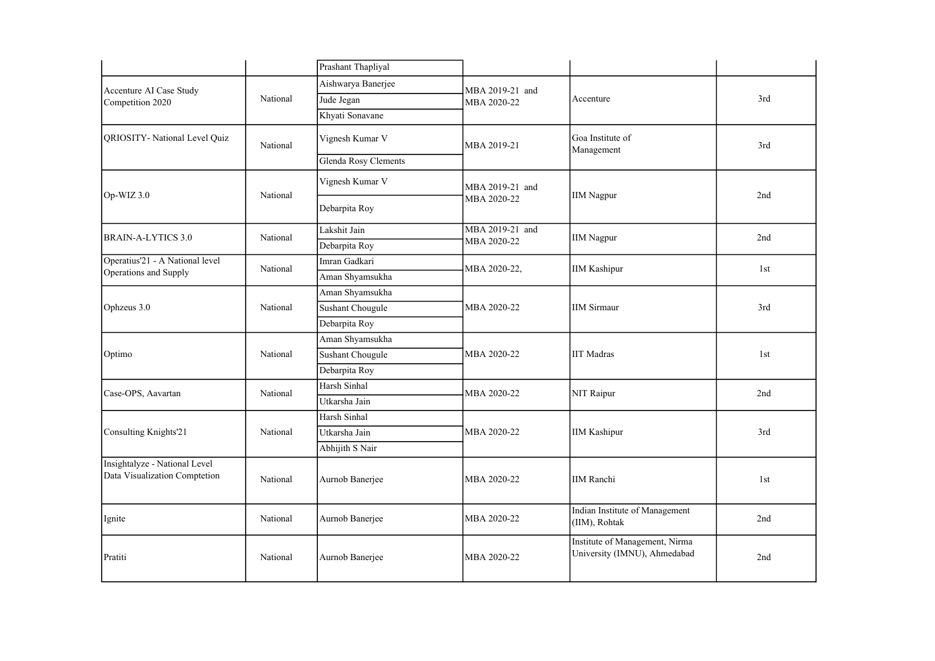|                                                                |          | Prashant Thapliyal   |                 |                                                                |     |
|----------------------------------------------------------------|----------|----------------------|-----------------|----------------------------------------------------------------|-----|
| Accenture AI Case Study                                        |          | Aishwarya Banerjee   | MBA 2019-21 and |                                                                |     |
| Competition 2020                                               | National | Jude Jegan           | MBA 2020-22     | Accenture                                                      | 3rd |
|                                                                |          | Khyati Sonavane      |                 |                                                                |     |
| QRIOSITY- National Level Quiz                                  | National | Vignesh Kumar V      | MBA 2019-21     | Goa Institute of<br>Management                                 | 3rd |
|                                                                |          | Glenda Rosy Clements |                 |                                                                |     |
|                                                                |          | Vignesh Kumar V      | MBA 2019-21 and |                                                                |     |
| Op-WIZ 3.0                                                     | National | Debarpita Roy        | MBA 2020-22     | <b>IIM Nagpur</b>                                              | 2nd |
| <b>BRAIN-A-LYTICS 3.0</b>                                      | National | Lakshit Jain         | MBA 2019-21 and | <b>IIM Nagpur</b>                                              | 2nd |
|                                                                |          | Debarpita Roy        | MBA 2020-22     |                                                                |     |
| Operatius'21 - A National level                                | National | Imran Gadkari        | MBA 2020-22,    | <b>IIM Kashipur</b>                                            | 1st |
| Operations and Supply                                          |          | Aman Shyamsukha      |                 |                                                                |     |
|                                                                | National | Aman Shyamsukha      |                 |                                                                |     |
| Ophzeus 3.0                                                    |          | Sushant Chougule     | MBA 2020-22     | <b>IIM Sirmaur</b>                                             | 3rd |
|                                                                |          | Debarpita Roy        |                 |                                                                |     |
|                                                                | National | Aman Shyamsukha      |                 |                                                                |     |
| Optimo                                                         |          | Sushant Chougule     | MBA 2020-22     | <b>IIT Madras</b>                                              | 1st |
|                                                                |          | Debarpita Roy        |                 |                                                                |     |
| Case-OPS, Aavartan                                             | National | Harsh Sinhal         | MBA 2020-22     | NIT Raipur                                                     | 2nd |
|                                                                |          | Utkarsha Jain        |                 |                                                                |     |
|                                                                |          | Harsh Sinhal         |                 | <b>IIM Kashipur</b>                                            |     |
| Consulting Knights'21                                          | National | Utkarsha Jain        | MBA 2020-22     |                                                                | 3rd |
|                                                                |          | Abhijith S Nair      |                 |                                                                |     |
| Insightalyze - National Level<br>Data Visualization Comptetion | National | Aurnob Banerjee      | MBA 2020-22     | <b>IIM Ranchi</b>                                              | 1st |
| Ignite                                                         | National | Aurnob Banerjee      | MBA 2020-22     | Indian Institute of Management<br>(IIM), Rohtak                | 2nd |
| Pratiti                                                        | National | Aurnob Banerjee      | MBA 2020-22     | Institute of Management, Nirma<br>University (IMNU), Ahmedabad | 2nd |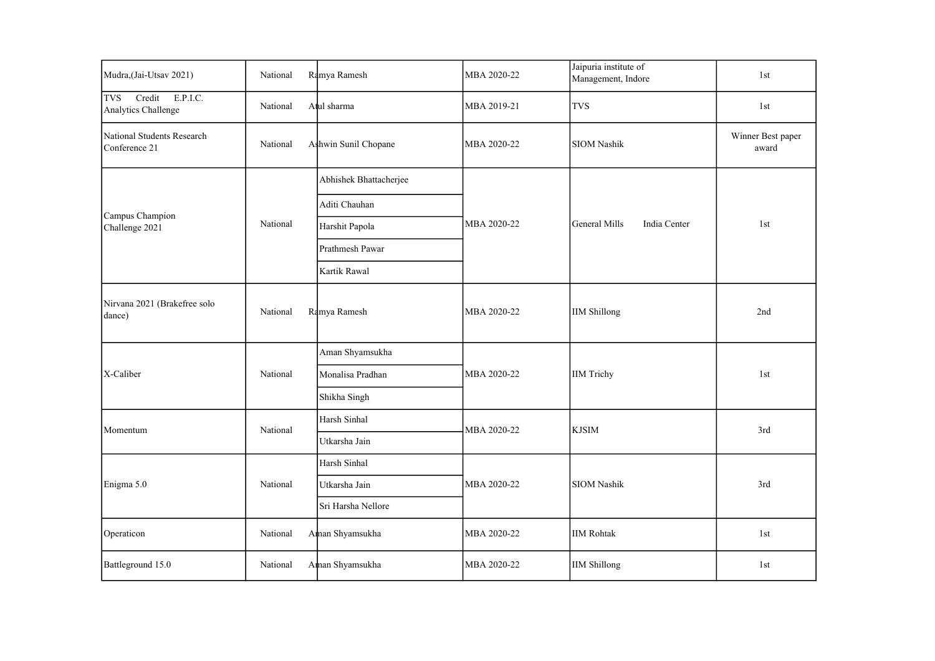| Mudra, (Jai-Utsav 2021)                                 | National | Ramya Ramesh           | MBA 2020-22 | Jaipuria institute of<br>Management, Indore | 1st                        |
|---------------------------------------------------------|----------|------------------------|-------------|---------------------------------------------|----------------------------|
| E.P.I.C.<br><b>TVS</b><br>Credit<br>Analytics Challenge | National | Atul sharma            | MBA 2019-21 | <b>TVS</b>                                  | 1st                        |
| National Students Research<br>Conference 21             | National | Ashwin Sunil Chopane   | MBA 2020-22 | SIOM Nashik                                 | Winner Best paper<br>award |
|                                                         |          | Abhishek Bhattacherjee |             |                                             |                            |
|                                                         |          | Aditi Chauhan          |             |                                             |                            |
| Campus Champion<br>Challenge 2021                       | National | Harshit Papola         | MBA 2020-22 | India Center<br>General Mills               | 1st                        |
|                                                         |          | Prathmesh Pawar        |             |                                             |                            |
|                                                         |          | Kartik Rawal           |             |                                             |                            |
| Nirvana 2021 (Brakefree solo<br>dance)                  | National | Ramya Ramesh           | MBA 2020-22 | <b>IIM Shillong</b>                         | 2nd                        |
|                                                         |          | Aman Shyamsukha        | MBA 2020-22 | <b>IIM Trichy</b>                           |                            |
| X-Caliber                                               | National | Monalisa Pradhan       |             |                                             | 1st                        |
|                                                         |          | Shikha Singh           |             |                                             |                            |
| Momentum                                                | National | Harsh Sinhal           | MBA 2020-22 | <b>KJSIM</b>                                | 3rd                        |
|                                                         |          | Utkarsha Jain          |             |                                             |                            |
|                                                         |          | Harsh Sinhal           |             |                                             |                            |
| Enigma 5.0                                              | National | Utkarsha Jain          | MBA 2020-22 | <b>SIOM Nashik</b>                          | 3rd                        |
|                                                         |          | Sri Harsha Nellore     |             |                                             |                            |
| Operaticon                                              | National | Aman Shyamsukha        | MBA 2020-22 | <b>IIM Rohtak</b>                           | 1st                        |
| Battleground 15.0                                       | National | Aman Shyamsukha        | MBA 2020-22 | <b>IIM Shillong</b>                         | 1st                        |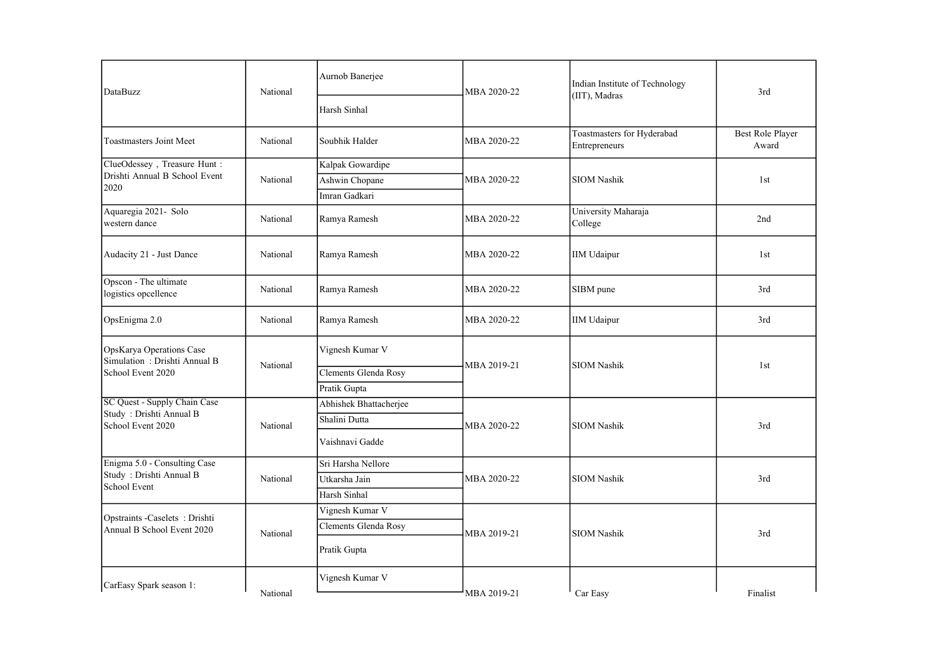| DataBuzz                                                 | National | Aurnob Banerjee        | MBA 2020-22 | Indian Institute of Technology<br>(IIT), Madras | 3rd                       |
|----------------------------------------------------------|----------|------------------------|-------------|-------------------------------------------------|---------------------------|
|                                                          |          | Harsh Sinhal           |             |                                                 |                           |
| Toastmasters Joint Meet                                  | National | Soubhik Halder         | MBA 2020-22 | Toastmasters for Hyderabad<br>Entrepreneurs     | Best Role Player<br>Award |
| ClueOdessey, Treasure Hunt:                              |          | Kalpak Gowardipe       |             |                                                 |                           |
| Drishti Annual B School Event<br>2020                    | National | Ashwin Chopane         | MBA 2020-22 | <b>SIOM Nashik</b>                              | 1st                       |
|                                                          |          | Imran Gadkari          |             |                                                 |                           |
| Aquaregia 2021- Solo<br>western dance                    | National | Ramya Ramesh           | MBA 2020-22 | University Maharaja<br>College                  | 2nd                       |
| Audacity 21 - Just Dance                                 | National | Ramya Ramesh           | MBA 2020-22 | <b>IIM Udaipur</b>                              | 1st                       |
| Opscon - The ultimate<br>logistics opcellence            | National | Ramya Ramesh           | MBA 2020-22 | SIBM pune                                       | 3rd                       |
| OpsEnigma 2.0                                            | National | Ramya Ramesh           | MBA 2020-22 | IIM Udaipur                                     | 3rd                       |
| OpsKarya Operations Case<br>Simulation: Drishti Annual B | National | Vignesh Kumar V        | MBA 2019-21 | <b>SIOM Nashik</b>                              | 1st                       |
| School Event 2020                                        |          | Clements Glenda Rosy   |             |                                                 |                           |
|                                                          |          | Pratik Gupta           |             |                                                 |                           |
| SC Quest - Supply Chain Case<br>Study: Drishti Annual B  |          | Abhishek Bhattacherjee |             |                                                 |                           |
| School Event 2020                                        | National | Shalini Dutta          | MBA 2020-22 | <b>SIOM Nashik</b>                              | 3rd                       |
|                                                          |          | Vaishnavi Gadde        |             |                                                 |                           |
| Enigma 5.0 - Consulting Case                             |          | Sri Harsha Nellore     |             |                                                 |                           |
| Study: Drishti Annual B<br>School Event                  | National | Utkarsha Jain          | MBA 2020-22 | <b>SIOM Nashik</b>                              | 3rd                       |
|                                                          |          | Harsh Sinhal           |             |                                                 |                           |
| Opstraints -Caselets: Drishti                            |          | Vignesh Kumar V        |             |                                                 |                           |
| Annual B School Event 2020                               | National | Clements Glenda Rosy   | MBA 2019-21 | <b>SIOM Nashik</b>                              | 3rd                       |
|                                                          |          | Pratik Gupta           |             |                                                 |                           |
| CarEasy Spark season 1:                                  | National | Vignesh Kumar V        | MBA 2019-21 | Car Easy                                        | Finalist                  |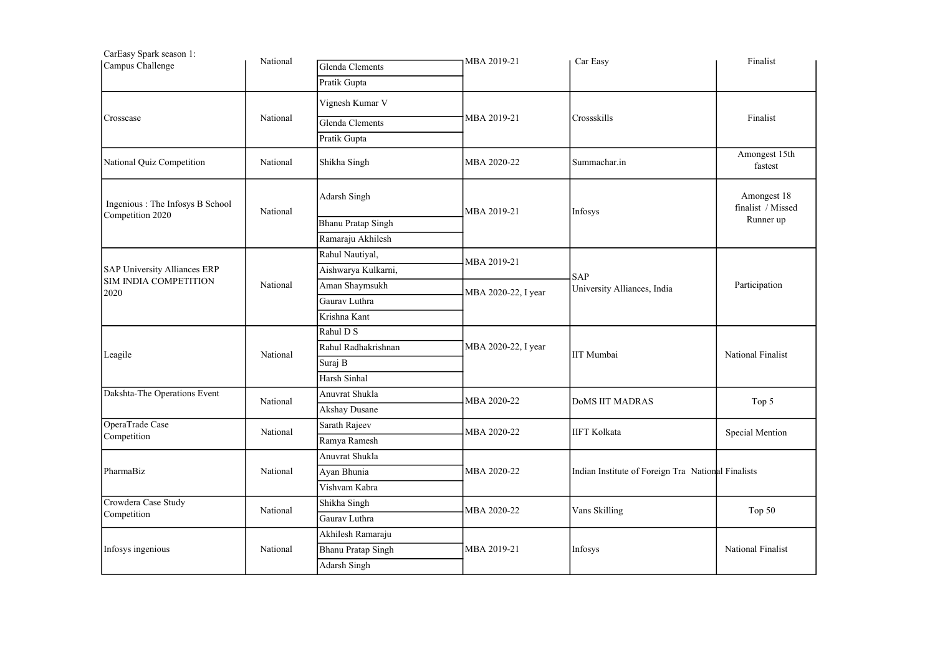| CarEasy Spark season 1:                              | National |                                                         |                     |                                                    | Finalist                                      |
|------------------------------------------------------|----------|---------------------------------------------------------|---------------------|----------------------------------------------------|-----------------------------------------------|
| Campus Challenge                                     |          | Glenda Clements                                         | MBA 2019-21         | Car Easy                                           |                                               |
|                                                      |          | Pratik Gupta                                            |                     |                                                    |                                               |
|                                                      |          | Vignesh Kumar V                                         |                     |                                                    |                                               |
| Crosscase                                            | National | Glenda Clements                                         | MBA 2019-21         | Crossskills                                        | Finalist                                      |
|                                                      |          | Pratik Gupta                                            |                     |                                                    |                                               |
| National Quiz Competition                            | National | Shikha Singh                                            | MBA 2020-22         | Summachar.in                                       | Amongest 15th<br>fastest                      |
| Ingenious : The Infosys B School<br>Competition 2020 | National | Adarsh Singh<br>Bhanu Pratap Singh<br>Ramaraju Akhilesh | MBA 2019-21         | Infosys                                            | Amongest 18<br>finalist / Missed<br>Runner up |
|                                                      |          | Rahul Nautiyal,                                         |                     |                                                    |                                               |
| SAP University Alliances ERP                         | National | Aishwarya Kulkarni,                                     | MBA 2019-21         |                                                    | Participation                                 |
| SIM INDIA COMPETITION                                |          | Aman Shaymsukh                                          |                     | <b>SAP</b><br>University Alliances, India          |                                               |
| 2020                                                 |          | Gaurav Luthra                                           | MBA 2020-22, I year |                                                    |                                               |
|                                                      |          | Krishna Kant                                            |                     |                                                    |                                               |
|                                                      | National | Rahul D S                                               |                     |                                                    |                                               |
| Leagile                                              |          | Rahul Radhakrishnan                                     | MBA 2020-22, I year | <b>IIT</b> Mumbai                                  | National Finalist                             |
|                                                      |          | Suraj B                                                 |                     |                                                    |                                               |
|                                                      |          | Harsh Sinhal                                            |                     |                                                    |                                               |
| Dakshta-The Operations Event                         | National | Anuvrat Shukla                                          | MBA 2020-22         | <b>DOMS IIT MADRAS</b>                             | Top 5                                         |
|                                                      |          | Akshay Dusane                                           |                     |                                                    |                                               |
| OperaTrade Case                                      | National | Sarath Rajeev                                           | MBA 2020-22         | <b>IIFT Kolkata</b>                                | Special Mention                               |
| Competition                                          |          | Ramya Ramesh                                            |                     |                                                    |                                               |
|                                                      |          | Anuvrat Shukla                                          |                     |                                                    |                                               |
| PharmaBiz                                            | National | Ayan Bhunia                                             | MBA 2020-22         | Indian Institute of Foreign Tra National Finalists |                                               |
|                                                      |          | Vishvam Kabra                                           |                     |                                                    |                                               |
| Crowdera Case Study                                  | National | Shikha Singh                                            | MBA 2020-22         | Vans Skilling                                      | Top 50                                        |
| Competition                                          |          | Gaurav Luthra                                           |                     |                                                    |                                               |
|                                                      |          | Akhilesh Ramaraju                                       |                     |                                                    |                                               |
| Infosys ingenious                                    | National | <b>Bhanu Pratap Singh</b>                               | MBA 2019-21         | Infosys                                            | National Finalist                             |
|                                                      |          | Adarsh Singh                                            |                     |                                                    |                                               |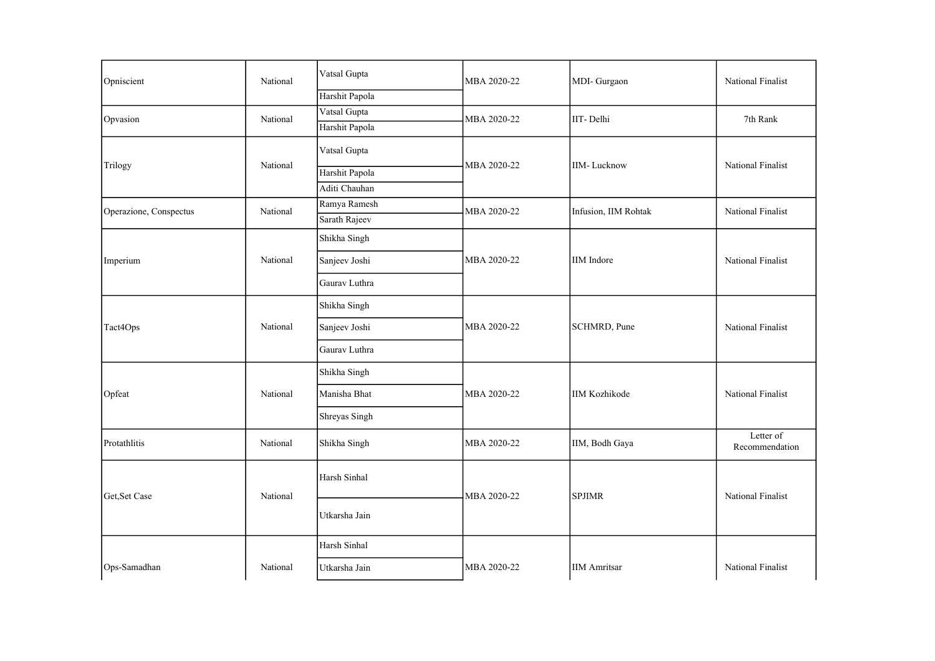| Opniscient             | National | Vatsal Gupta   | MBA 2020-22 | MDI-Gurgaon                                                                                                                                                       | National Finalist           |
|------------------------|----------|----------------|-------------|-------------------------------------------------------------------------------------------------------------------------------------------------------------------|-----------------------------|
|                        |          | Harshit Papola |             |                                                                                                                                                                   |                             |
| Opvasion               | National | Vatsal Gupta   | MBA 2020-22 | IIT-Delhi                                                                                                                                                         | 7th Rank                    |
|                        |          | Harshit Papola |             | <b>IIM-Lucknow</b><br>Infusion, IIM Rohtak<br><b>IIM</b> Indore<br>SCHMRD, Pune<br><b>IIM Kozhikode</b><br>IIM, Bodh Gaya<br><b>SPJIMR</b><br><b>IIM Amritsar</b> |                             |
|                        | National | Vatsal Gupta   |             |                                                                                                                                                                   |                             |
| Trilogy                |          | Harshit Papola | MBA 2020-22 |                                                                                                                                                                   | National Finalist           |
|                        |          | Aditi Chauhan  |             |                                                                                                                                                                   |                             |
| Operazione, Conspectus | National | Ramya Ramesh   | MBA 2020-22 |                                                                                                                                                                   | National Finalist           |
|                        |          | Sarath Rajeev  |             |                                                                                                                                                                   |                             |
|                        |          | Shikha Singh   |             |                                                                                                                                                                   |                             |
| Imperium               | National | Sanjeev Joshi  | MBA 2020-22 |                                                                                                                                                                   | National Finalist           |
|                        |          | Gaurav Luthra  |             |                                                                                                                                                                   |                             |
|                        |          | Shikha Singh   |             |                                                                                                                                                                   |                             |
| Tact4Ops               | National | Sanjeev Joshi  | MBA 2020-22 |                                                                                                                                                                   | National Finalist           |
|                        |          | Gaurav Luthra  |             |                                                                                                                                                                   |                             |
|                        |          | Shikha Singh   |             |                                                                                                                                                                   |                             |
| Opfeat                 | National | Manisha Bhat   | MBA 2020-22 |                                                                                                                                                                   | National Finalist           |
|                        |          | Shreyas Singh  |             |                                                                                                                                                                   |                             |
| Protathlitis           | National | Shikha Singh   | MBA 2020-22 |                                                                                                                                                                   | Letter of<br>Recommendation |
|                        |          | Harsh Sinhal   |             |                                                                                                                                                                   |                             |
| Get, Set Case          | National | Utkarsha Jain  | MBA 2020-22 |                                                                                                                                                                   | National Finalist           |
|                        |          | Harsh Sinhal   |             |                                                                                                                                                                   |                             |
| Ops-Samadhan           | National | Utkarsha Jain  | MBA 2020-22 |                                                                                                                                                                   | National Finalist           |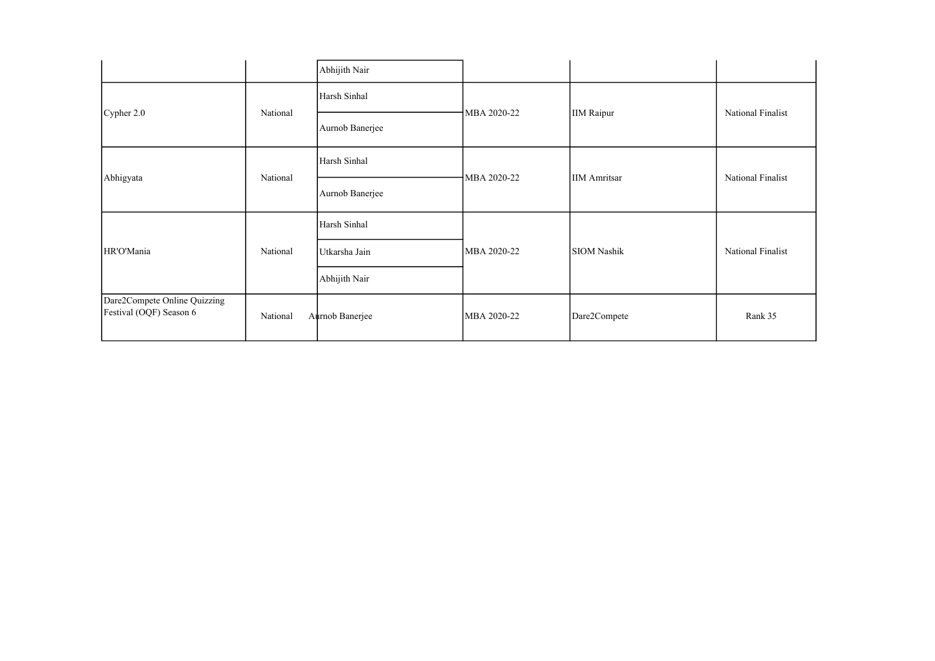|                                                         |          | Abhijith Nair   |                                                                         |                   |                   |
|---------------------------------------------------------|----------|-----------------|-------------------------------------------------------------------------|-------------------|-------------------|
|                                                         |          | Harsh Sinhal    |                                                                         |                   |                   |
| Cypher 2.0                                              | National | Aurnob Banerjee | MBA 2020-22                                                             | <b>IIM Raipur</b> | National Finalist |
| Abhigyata                                               | National | Harsh Sinhal    | MBA 2020-22<br><b>IIM</b> Amritsar<br>MBA 2020-22<br><b>SIOM Nashik</b> |                   | National Finalist |
|                                                         |          | Aurnob Banerjee |                                                                         |                   |                   |
|                                                         |          | Harsh Sinhal    |                                                                         |                   |                   |
| HR'O'Mania                                              | National | Utkarsha Jain   |                                                                         |                   | National Finalist |
|                                                         |          | Abhijith Nair   |                                                                         |                   |                   |
| Dare2Compete Online Quizzing<br>Festival (OQF) Season 6 | National | Aurnob Banerjee | MBA 2020-22                                                             | Dare2Compete      | Rank 35           |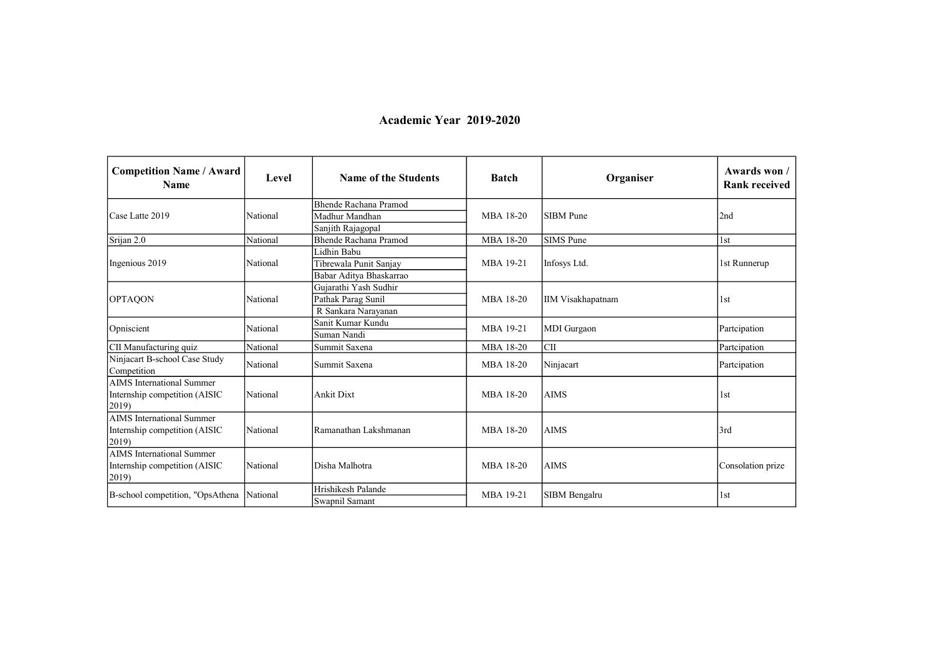## **Academic Year** 2019-2020

| <b>Competition Name / Award</b><br><b>Name</b>                                      | Level    | <b>Name of the Students</b>          | <b>Batch</b> | Organiser                | Awards won /<br><b>Rank received</b> |
|-------------------------------------------------------------------------------------|----------|--------------------------------------|--------------|--------------------------|--------------------------------------|
|                                                                                     |          | Bhende Rachana Pramod                |              |                          |                                      |
| Case Latte 2019                                                                     | National | Madhur Mandhan                       | MBA 18-20    | <b>SIBM</b> Pune         | 2nd                                  |
|                                                                                     |          | Sanjith Rajagopal                    |              |                          |                                      |
| Srijan 2.0                                                                          | National | <b>Bhende Rachana Pramod</b>         | MBA 18-20    | <b>SIMS</b> Pune         | 1st                                  |
|                                                                                     |          | Lidhin Babu                          |              |                          |                                      |
| Ingenious 2019                                                                      | National | Tibrewala Punit Sanjay               | MBA 19-21    | Infosys Ltd.             | 1st Runnerup                         |
|                                                                                     |          | Babar Aditya Bhaskarrao              |              |                          |                                      |
|                                                                                     |          | Gujarathi Yash Sudhir                |              |                          | 1st                                  |
| <b>OPTAQON</b>                                                                      | National | Pathak Parag Sunil                   | MBA 18-20    | <b>IIM Visakhapatnam</b> |                                      |
|                                                                                     |          | R Sankara Naravanan                  |              |                          |                                      |
| Opniscient                                                                          | National | Sanit Kumar Kundu                    | MBA 19-21    | <b>MDI</b> Gurgaon       | Partcipation                         |
|                                                                                     |          | Suman Nandi                          |              |                          |                                      |
| CII Manufacturing quiz                                                              | National | Summit Saxena                        | MBA 18-20    | <b>CII</b>               | Partcipation                         |
| Ninjacart B-school Case Study<br>Competition                                        | National | Summit Saxena                        | MBA 18-20    | Ninjacart                | Partcipation                         |
| <b>AIMS</b> International Summer<br>Internship competition (AISIC<br>2019)          | National | <b>Ankit Dixt</b>                    | MBA 18-20    | <b>AIMS</b>              | 1st                                  |
| <b>AIMS</b> International Summer<br>Internship competition (AISIC<br>$ 2019\rangle$ | National | Ramanathan Lakshmanan                | MBA 18-20    | <b>AIMS</b>              | 3rd                                  |
| <b>AIMS</b> International Summer<br>Internship competition (AISIC<br>(2019)         | National | Disha Malhotra                       | MBA 18-20    | <b>AIMS</b>              | Consolation prize                    |
| B-school competition, "OpsAthena                                                    | National | Hrishikesh Palande<br>Swapnil Samant | MBA 19-21    | SIBM Bengalru            | 1st                                  |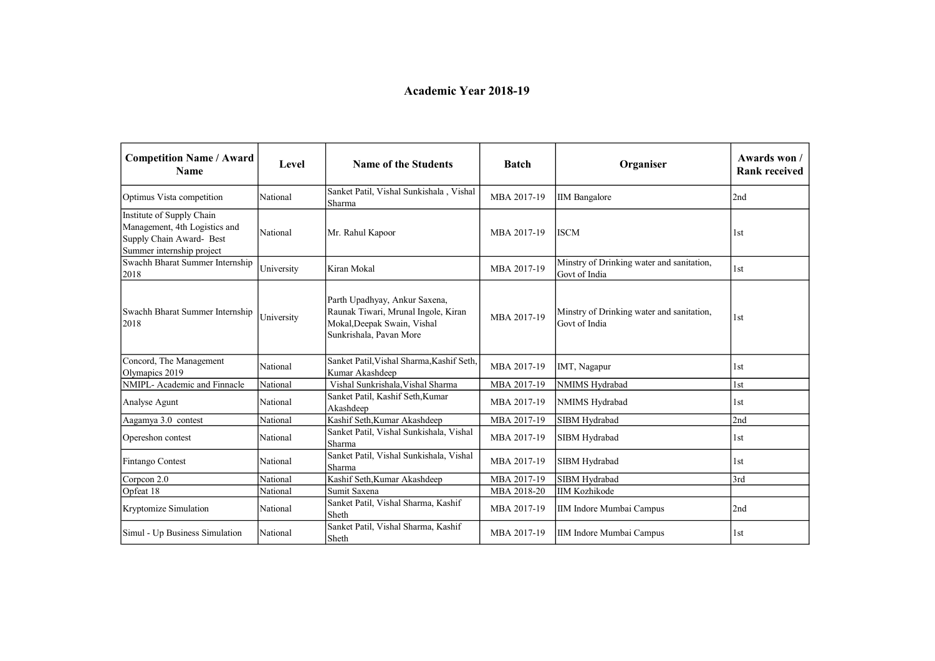## **Academic Year** 2018-19

| <b>Competition Name / Award</b><br><b>Name</b>                                                                      | Level      | <b>Name of the Students</b>                                                                                                    | <b>Batch</b> | Organiser                                                  | Awards won /<br><b>Rank received</b> |
|---------------------------------------------------------------------------------------------------------------------|------------|--------------------------------------------------------------------------------------------------------------------------------|--------------|------------------------------------------------------------|--------------------------------------|
| Optimus Vista competition                                                                                           | National   | Sanket Patil, Vishal Sunkishala, Vishal<br>Sharma                                                                              | MBA 2017-19  | <b>IIM</b> Bangalore                                       | 2nd                                  |
| Institute of Supply Chain<br>Management, 4th Logistics and<br>Supply Chain Award- Best<br>Summer internship project | National   | Mr. Rahul Kapoor                                                                                                               | MBA 2017-19  | <b>ISCM</b>                                                | 1st                                  |
| Swachh Bharat Summer Internship<br>2018                                                                             | University | Kiran Mokal                                                                                                                    | MBA 2017-19  | Minstry of Drinking water and sanitation,<br>Govt of India | 1st                                  |
| Swachh Bharat Summer Internship<br>2018                                                                             | University | Parth Upadhyay, Ankur Saxena,<br>Raunak Tiwari, Mrunal Ingole, Kiran<br>Mokal, Deepak Swain, Vishal<br>Sunkrishala, Pavan More | MBA 2017-19  | Minstry of Drinking water and sanitation,<br>Govt of India | 1st                                  |
| Concord, The Management<br>Olymapics 2019                                                                           | National   | Sanket Patil, Vishal Sharma, Kashif Seth,<br>Kumar Akashdeep                                                                   | MBA 2017-19  | IMT, Nagapur                                               | 1st                                  |
| NMIPL-Academic and Finnacle                                                                                         | National   | Vishal Sunkrishala, Vishal Sharma                                                                                              | MBA 2017-19  | NMIMS Hydrabad                                             | 1st                                  |
| Analyse Agunt                                                                                                       | National   | Sanket Patil, Kashif Seth, Kumar<br>Akashdeep                                                                                  | MBA 2017-19  | NMIMS Hydrabad                                             | 1st                                  |
| Aagamya 3.0 contest                                                                                                 | National   | Kashif Seth, Kumar Akashdeep                                                                                                   | MBA 2017-19  | SIBM Hydrabad                                              | 2nd                                  |
| Opereshon contest                                                                                                   | National   | Sanket Patil, Vishal Sunkishala, Vishal<br>Sharma                                                                              | MBA 2017-19  | SIBM Hydrabad                                              | 1st                                  |
| Fintango Contest                                                                                                    | National   | Sanket Patil, Vishal Sunkishala, Vishal<br>Sharma                                                                              | MBA 2017-19  | SIBM Hydrabad                                              | 1st                                  |
| Corpcon 2.0                                                                                                         | National   | Kashif Seth, Kumar Akashdeep                                                                                                   | MBA 2017-19  | SIBM Hydrabad                                              | 3rd                                  |
| Opfeat 18                                                                                                           | National   | Sumit Saxena                                                                                                                   | MBA 2018-20  | <b>IIM Kozhikode</b>                                       |                                      |
| Kryptomize Simulation                                                                                               | National   | Sanket Patil, Vishal Sharma, Kashif<br>Sheth                                                                                   | MBA 2017-19  | IIM Indore Mumbai Campus                                   | 2nd                                  |
| Simul - Up Business Simulation                                                                                      | National   | Sanket Patil, Vishal Sharma, Kashif<br>Sheth                                                                                   | MBA 2017-19  | IIM Indore Mumbai Campus                                   | 1st                                  |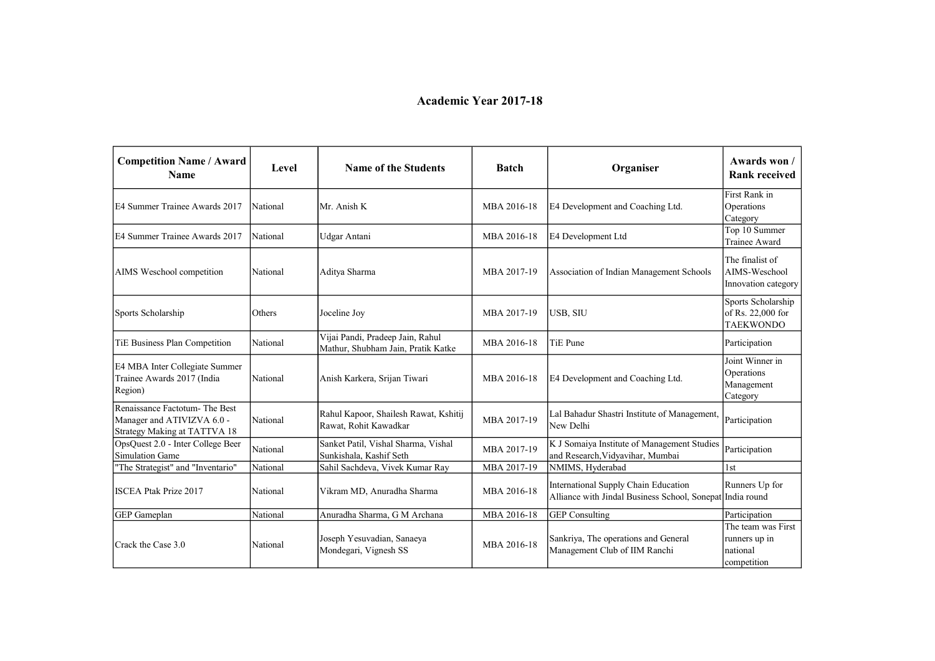## **Academic Year** 2017-18

| <b>Competition Name / Award</b><br><b>Name</b>                                              | Level    | <b>Name of the Students</b>                                            | <b>Batch</b> | Organiser                                                                                         | Awards won /<br><b>Rank received</b>                           |
|---------------------------------------------------------------------------------------------|----------|------------------------------------------------------------------------|--------------|---------------------------------------------------------------------------------------------------|----------------------------------------------------------------|
| IE4 Summer Trainee Awards 2017                                                              | National | Mr. Anish K                                                            | MBA 2016-18  | E4 Development and Coaching Ltd.                                                                  | First Rank in<br>Operations<br>Category                        |
| E4 Summer Trainee Awards 2017                                                               | National | Udgar Antani                                                           | MBA 2016-18  | E4 Development Ltd                                                                                | Top 10 Summer<br>Trainee Award                                 |
| AIMS Weschool competition                                                                   | National | Aditya Sharma                                                          | MBA 2017-19  | Association of Indian Management Schools                                                          | The finalist of<br>AIMS-Weschool<br>Innovation category        |
| Sports Scholarship                                                                          | Others   | Joceline Joy                                                           | MBA 2017-19  | USB, SIU                                                                                          | Sports Scholarship<br>of Rs. 22,000 for<br><b>TAEKWONDO</b>    |
| TiE Business Plan Competition                                                               | National | Vijai Pandi, Pradeep Jain, Rahul<br>Mathur, Shubham Jain, Pratik Katke | MBA 2016-18  | <b>TiE Pune</b>                                                                                   | Participation                                                  |
| E4 MBA Inter Collegiate Summer<br>Trainee Awards 2017 (India<br>Region)                     | National | Anish Karkera, Srijan Tiwari                                           | MBA 2016-18  | E4 Development and Coaching Ltd.                                                                  | Joint Winner in<br>Operations<br>Management<br>Category        |
| Renaissance Factotum-The Best<br>Manager and ATIVIZVA 6.0 -<br>Strategy Making at TATTVA 18 | National | Rahul Kapoor, Shailesh Rawat, Kshitij<br>Rawat, Rohit Kawadkar         | MBA 2017-19  | Lal Bahadur Shastri Institute of Management,<br>New Delhi                                         | Participation                                                  |
| OpsQuest 2.0 - Inter College Beer<br>Simulation Game                                        | National | Sanket Patil, Vishal Sharma, Vishal<br>Sunkishala, Kashif Seth         | MBA 2017-19  | K J Somaiya Institute of Management Studies<br>and Research, Vidyavihar, Mumbai                   | Participation                                                  |
| "The Strategist" and "Inventario"                                                           | National | Sahil Sachdeva, Vivek Kumar Ray                                        | MBA 2017-19  | NMIMS, Hyderabad                                                                                  | 1st                                                            |
| <b>ISCEA Ptak Prize 2017</b>                                                                | National | Vikram MD, Anuradha Sharma                                             | MBA 2016-18  | International Supply Chain Education<br>Alliance with Jindal Business School, Sonepat India round | Runners Up for                                                 |
| <b>GEP</b> Gameplan                                                                         | National | Anuradha Sharma, G M Archana                                           | MBA 2016-18  | <b>GEP</b> Consulting                                                                             | Participation                                                  |
| Crack the Case 3.0                                                                          | National | Joseph Yesuvadian, Sanaeya<br>Mondegari, Vignesh SS                    | MBA 2016-18  | Sankriya, The operations and General<br>Management Club of IIM Ranchi                             | The team was First<br>runners up in<br>national<br>competition |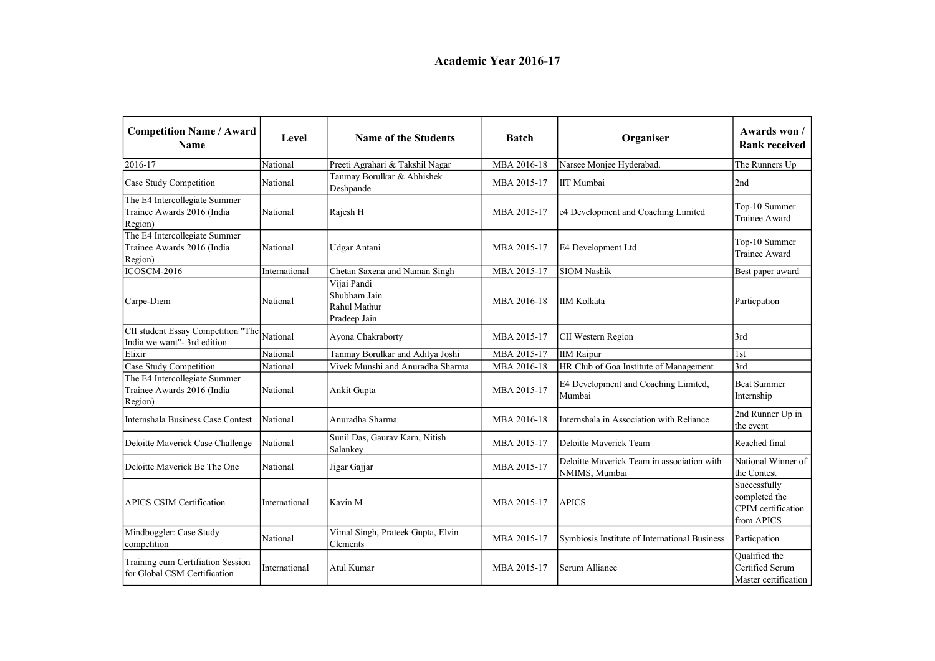| <b>Competition Name / Award</b><br><b>Name</b>                         | Level         | <b>Name of the Students</b>                                 | <b>Batch</b> | Organiser                                                   | Awards won /<br><b>Rank received</b>                              |
|------------------------------------------------------------------------|---------------|-------------------------------------------------------------|--------------|-------------------------------------------------------------|-------------------------------------------------------------------|
| 2016-17                                                                | National      | Preeti Agrahari & Takshil Nagar                             | MBA 2016-18  | Narsee Monjee Hyderabad.                                    | The Runners Up                                                    |
| Case Study Competition                                                 | National      | Tanmay Borulkar & Abhishek<br>Deshpande                     | MBA 2015-17  | IIT Mumbai                                                  | 2nd                                                               |
| The E4 Intercollegiate Summer<br>Trainee Awards 2016 (India<br>Region) | National      | Rajesh H                                                    | MBA 2015-17  | e4 Development and Coaching Limited                         | Top-10 Summer<br>Trainee Award                                    |
| The E4 Intercollegiate Summer<br>Trainee Awards 2016 (India<br>Region) | National      | Udgar Antani                                                | MBA 2015-17  | E4 Development Ltd                                          | Top-10 Summer<br>Trainee Award                                    |
| <b>ICOSCM-2016</b>                                                     | International | Chetan Saxena and Naman Singh                               | MBA 2015-17  | <b>SIOM Nashik</b>                                          | Best paper award                                                  |
| Carpe-Diem                                                             | National      | Vijai Pandi<br>Shubham Jain<br>Rahul Mathur<br>Pradeep Jain | MBA 2016-18  | IIM Kolkata                                                 | Particpation                                                      |
| CII student Essay Competition "The<br>India we want"- 3rd edition      | National      | Ayona Chakraborty                                           | MBA 2015-17  | CII Western Region                                          | 3rd                                                               |
| Elixir                                                                 | National      | Tanmay Borulkar and Aditya Joshi                            | MBA 2015-17  | <b>IIM Raipur</b>                                           | 1st                                                               |
| Case Study Competition                                                 | National      | Vivek Munshi and Anuradha Sharma                            | MBA 2016-18  | HR Club of Goa Institute of Management                      | 3rd                                                               |
| The E4 Intercollegiate Summer<br>Trainee Awards 2016 (India<br>Region) | National      | Ankit Gupta                                                 | MBA 2015-17  | E4 Development and Coaching Limited,<br>Mumbai              | <b>Beat Summer</b><br>Internship                                  |
| Internshala Business Case Contest                                      | National      | Anuradha Sharma                                             | MBA 2016-18  | Internshala in Association with Reliance                    | 2nd Runner Up in<br>the event                                     |
| Deloitte Maverick Case Challenge                                       | National      | Sunil Das, Gaurav Karn, Nitish<br>Salankey                  | MBA 2015-17  | Deloitte Maverick Team                                      | Reached final                                                     |
| Deloitte Maverick Be The One                                           | National      | Jigar Gajjar                                                | MBA 2015-17  | Deloitte Maverick Team in association with<br>NMIMS, Mumbai | National Winner of<br>the Contest                                 |
| <b>APICS CSIM Certification</b>                                        | International | Kavin M                                                     | MBA 2015-17  | <b>APICS</b>                                                | Successfully<br>completed the<br>CPIM certification<br>from APICS |
| Mindboggler: Case Study<br>competition                                 | National      | Vimal Singh, Prateek Gupta, Elvin<br>Clements               | MBA 2015-17  | Symbiosis Institute of International Business               | Particpation                                                      |
| Training cum Certifiation Session<br>for Global CSM Certification      | International | Atul Kumar                                                  | MBA 2015-17  | Scrum Alliance                                              | Qualified the<br>Certified Scrum<br>Master certification          |